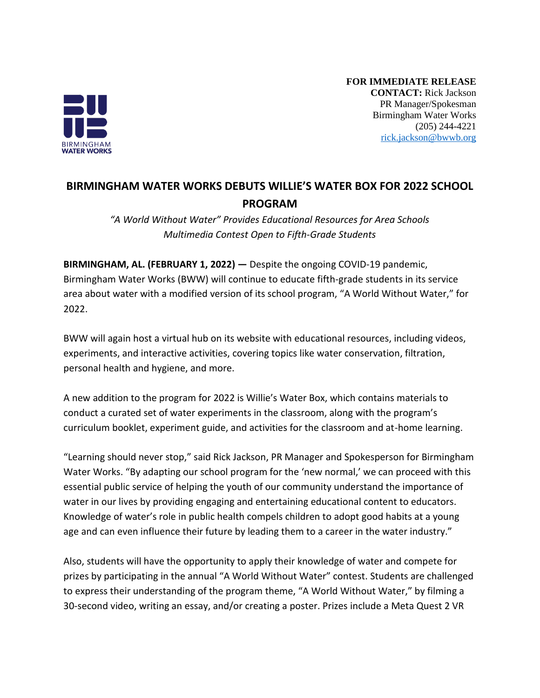

**FOR IMMEDIATE RELEASE CONTACT:** Rick Jackson PR Manager/Spokesman Birmingham Water Works (205) 244-4221 [rick.jackson@bwwb.org](mailto:rick.jackson@bwwb.org)

## **BIRMINGHAM WATER WORKS DEBUTS WILLIE'S WATER BOX FOR 2022 SCHOOL PROGRAM**

*"A World Without Water" Provides Educational Resources for Area Schools Multimedia Contest Open to Fifth-Grade Students*

**BIRMINGHAM, AL. (FEBRUARY 1, 2022) —** Despite the ongoing COVID-19 pandemic, Birmingham Water Works (BWW) will continue to educate fifth-grade students in its service area about water with a modified version of its school program, "A World Without Water," for 2022.

BWW will again host a virtual hub on its website with educational resources, including videos, experiments, and interactive activities, covering topics like water conservation, filtration, personal health and hygiene, and more.

A new addition to the program for 2022 is Willie's Water Box, which contains materials to conduct a curated set of water experiments in the classroom, along with the program's curriculum booklet, experiment guide, and activities for the classroom and at-home learning.

"Learning should never stop," said Rick Jackson, PR Manager and Spokesperson for Birmingham Water Works. "By adapting our school program for the 'new normal,' we can proceed with this essential public service of helping the youth of our community understand the importance of water in our lives by providing engaging and entertaining educational content to educators. Knowledge of water's role in public health compels children to adopt good habits at a young age and can even influence their future by leading them to a career in the water industry."

Also, students will have the opportunity to apply their knowledge of water and compete for prizes by participating in the annual "A World Without Water" contest. Students are challenged to express their understanding of the program theme, "A World Without Water," by filming a 30-second video, writing an essay, and/or creating a poster. Prizes include a Meta Quest 2 VR